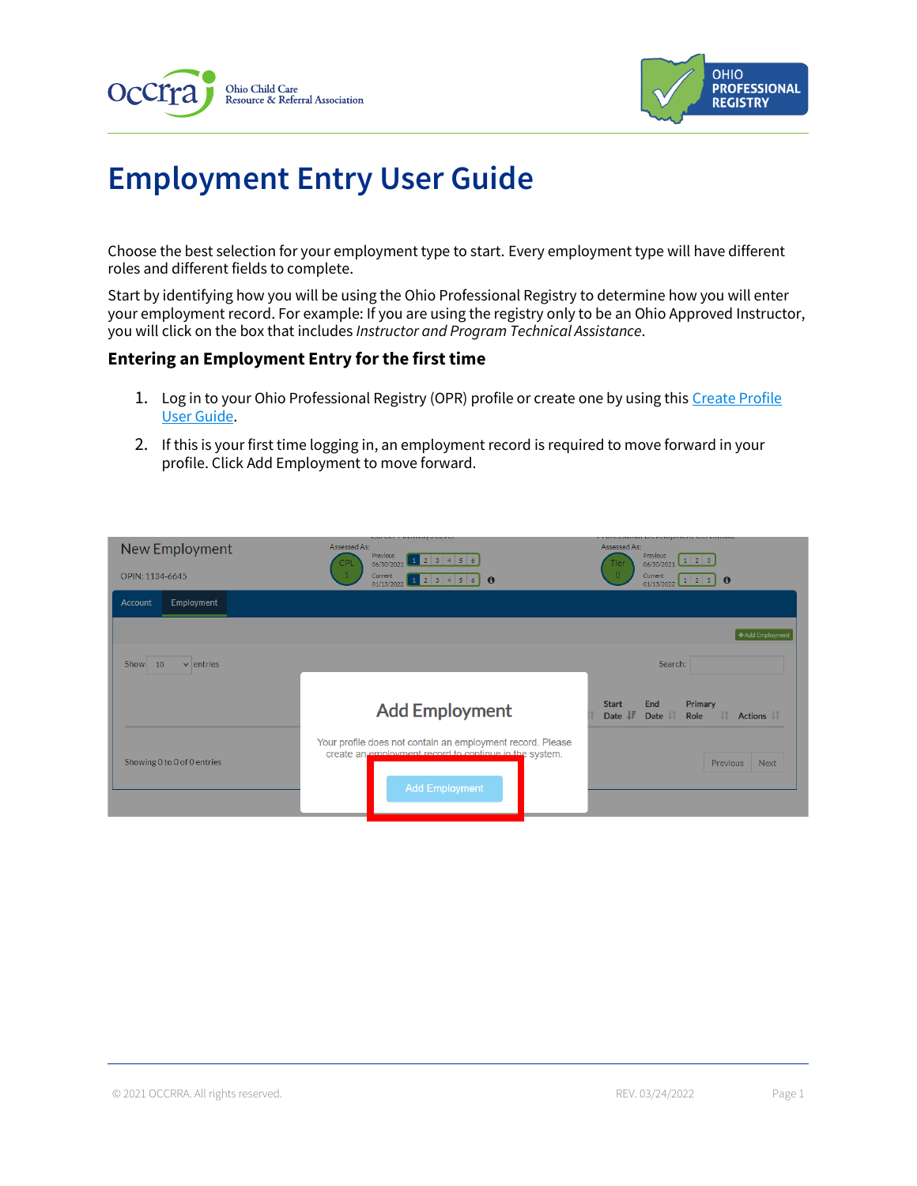



# **Employment Entry User Guide**

Choose the best selection for your employment type to start. Every employment type will have different roles and different fields to complete.

Start by identifying how you will be using the Ohio Professional Registry to determine how you will enter your employment record. For example: If you are using the registry only to be an Ohio Approved Instructor, you will click on the box that includes *Instructor and Program Technical Assistance*.

#### **Entering an Employment Entry for the first time**

- 1. Log in to your Ohio Professional Registry (OPR) profile or create one by using this Create Profile [User Guide.](chrome-extension://efaidnbmnnnibpcajpcglclefindmkaj/viewer.html?pdfurl=https%3A%2F%2Fd2hfgw7vtnz2tl.cloudfront.net%2Fwp-content%2Fuploads%2F2021%2F08%2Fopr-create-profile-user-guide.pdf&chunk=true)
- 2. If this is your first time logging in, an employment record is required to move forward in your profile. Click Add Employment to move forward.

| New Employment               | Assessed As:<br><b>Previous</b><br>06/30/2021 1 2 3 4 5 6<br><b>CPL</b>                                              | Assessed As:<br><b>Previous</b><br>$06/30/2021$ $1$ 2 3<br><b>Tier</b>         |
|------------------------------|----------------------------------------------------------------------------------------------------------------------|--------------------------------------------------------------------------------|
| OPIN: 1134-6645              | 01/13/2022 1 2 3 4 5 6<br>$\bullet$                                                                                  | $\circ$<br>Current<br>1 2 3 0<br>01/13/2022                                    |
| Employment<br>Account        |                                                                                                                      |                                                                                |
|                              |                                                                                                                      | +Add Employment                                                                |
| Show<br>$\vee$ entries<br>10 |                                                                                                                      | Search:                                                                        |
|                              |                                                                                                                      |                                                                                |
|                              | <b>Add Employment</b>                                                                                                | <b>Start</b><br>End<br>Primary<br>Date IF<br>I<br>Date I<br>Actions IT<br>Role |
| Showing 0 to 0 of 0 entries  | Your profile does not contain an employment record. Please<br>create an employment record to continue in the system. | <b>Previous</b><br><b>Next</b>                                                 |
|                              | <b>Add Employment</b>                                                                                                |                                                                                |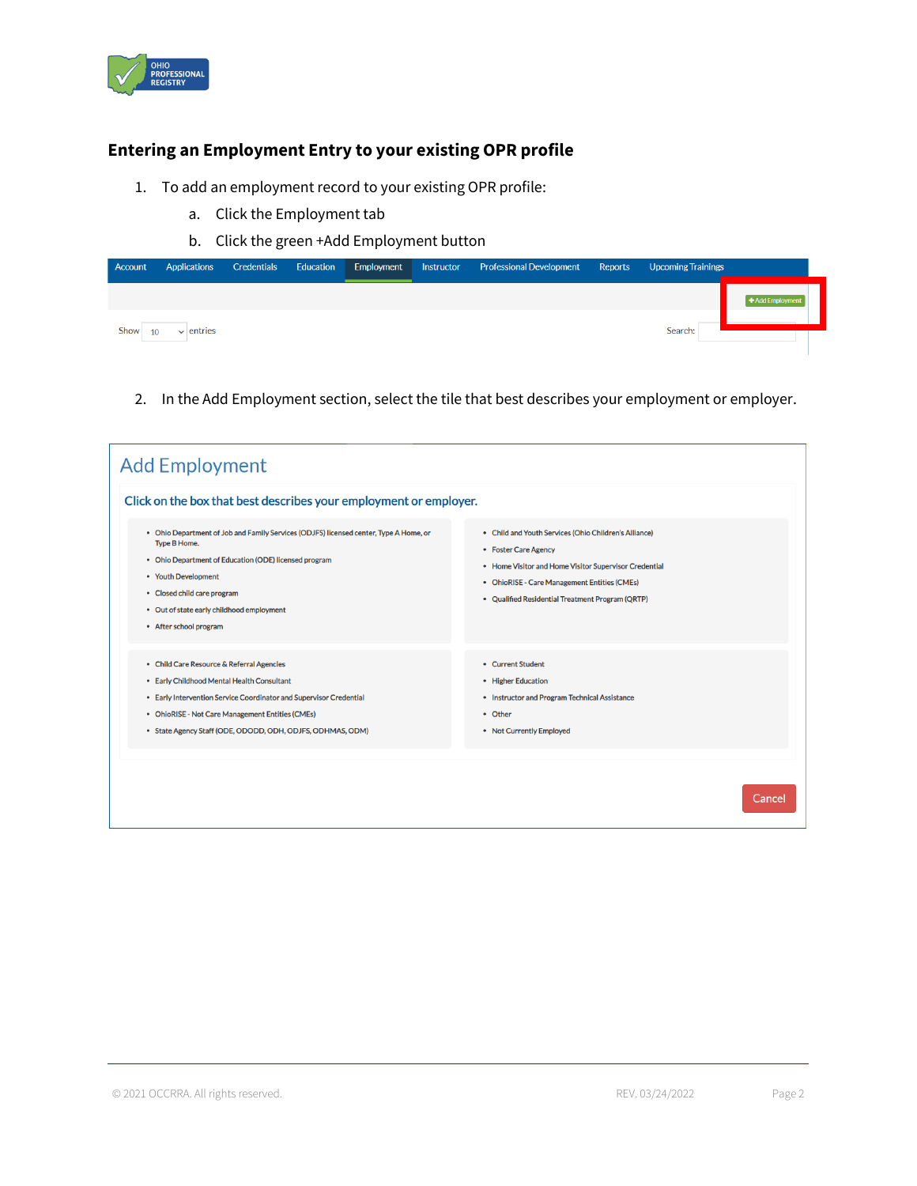

# **Entering an Employment Entry to your existing OPR profile**

- 1. To add an employment record to your existing OPR profile:
	- a. Click the Employment tab
	- b. Click the green +Add Employment button

| Account    | <b>Applications</b> | Credentials | Education | Employment | Instructor | <b>Professional Development</b> | Reports | <b>Upcoming Trainings</b> |                    |
|------------|---------------------|-------------|-----------|------------|------------|---------------------------------|---------|---------------------------|--------------------|
| Show<br>10 | $\vee$ entries      |             |           |            |            |                                 |         | Search:                   | $+$ Add Employment |

2. In the Add Employment section, select the tile that best describes your employment or employer.

| Click on the box that best describes your employment or employer.<br>. Ohio Department of Job and Family Services (ODJFS) licensed center. Type A Home, or                                                                                                                      | • Child and Youth Services (Ohio Children's Alliance)                                                                                                                             |
|---------------------------------------------------------------------------------------------------------------------------------------------------------------------------------------------------------------------------------------------------------------------------------|-----------------------------------------------------------------------------------------------------------------------------------------------------------------------------------|
| <b>Type B Home.</b><br>• Ohio Department of Education (ODE) licensed program<br>• Youth Development<br>• Closed child care program<br>• Out of state early childhood employment<br>• After school program                                                                       | • Foster Care Agency<br>• Home Visitor and Home Visitor Supervisor Credential<br>• OhioRISE - Care Management Entities (CMEs)<br>• Qualified Residential Treatment Program (QRTP) |
| • Child Care Resource & Referral Agencies<br>• Early Childhood Mental Health Consultant<br>• Early Intervention Service Coordinator and Supervisor Credential<br>• OhioRISE - Not Care Management Entities (CMEs)<br>• State Agency Staff (ODE, ODODD, ODH, ODJFS, ODHMAS, ODM) | • Current Student<br>• Higher Education<br>• Instructor and Program Technical Assistance<br>• Other<br>• Not Currently Employed                                                   |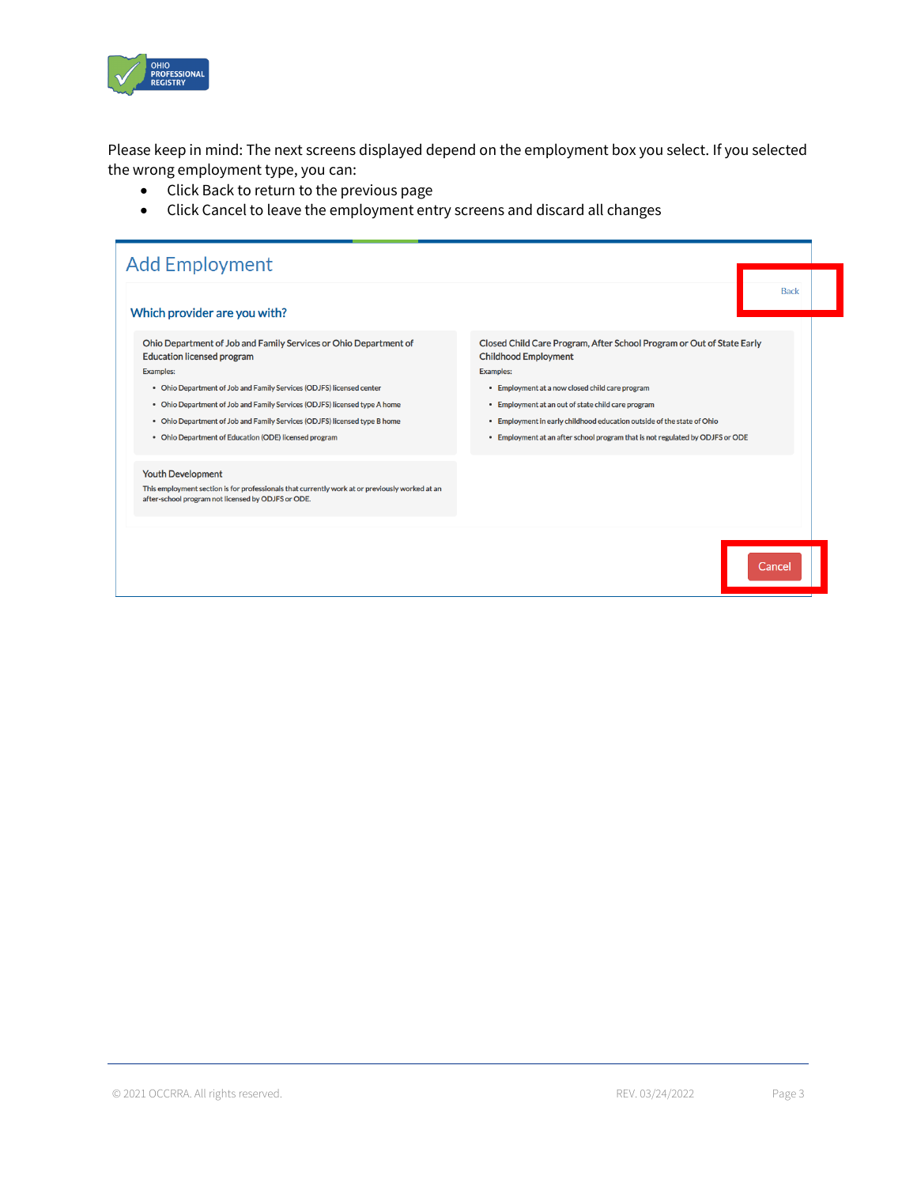

Please keep in mind: The next screens displayed depend on the employment box you select. If you selected the wrong employment type, you can:

- Click Back to return to the previous page
- Click Cancel to leave the employment entry screens and discard all changes

| Which provider are you with?                                                                                                                                                                                                                                                                                                                                                                                         | <b>Back</b>                                                                                                                                                                                                                                                                                                                                                                                  |
|----------------------------------------------------------------------------------------------------------------------------------------------------------------------------------------------------------------------------------------------------------------------------------------------------------------------------------------------------------------------------------------------------------------------|----------------------------------------------------------------------------------------------------------------------------------------------------------------------------------------------------------------------------------------------------------------------------------------------------------------------------------------------------------------------------------------------|
| Ohio Department of Job and Family Services or Ohio Department of<br><b>Education licensed program</b><br><b>Examples:</b><br>• Ohio Department of Job and Family Services (ODJFS) licensed center<br>• Ohio Department of Job and Family Services (ODJFS) licensed type A home<br>• Ohio Department of Job and Family Services (ODJFS) licensed type B home<br>• Ohio Department of Education (ODE) licensed program | Closed Child Care Program, After School Program or Out of State Early<br><b>Childhood Employment</b><br><b>Examples:</b><br>• Employment at a now closed child care program<br>• Employment at an out of state child care program<br>• Employment in early childhood education outside of the state of Ohio<br>. Employment at an after school program that is not regulated by ODJFS or ODE |
| <b>Youth Development</b><br>This employment section is for professionals that currently work at or previously worked at an<br>after-school program not licensed by ODJFS or ODE.                                                                                                                                                                                                                                     |                                                                                                                                                                                                                                                                                                                                                                                              |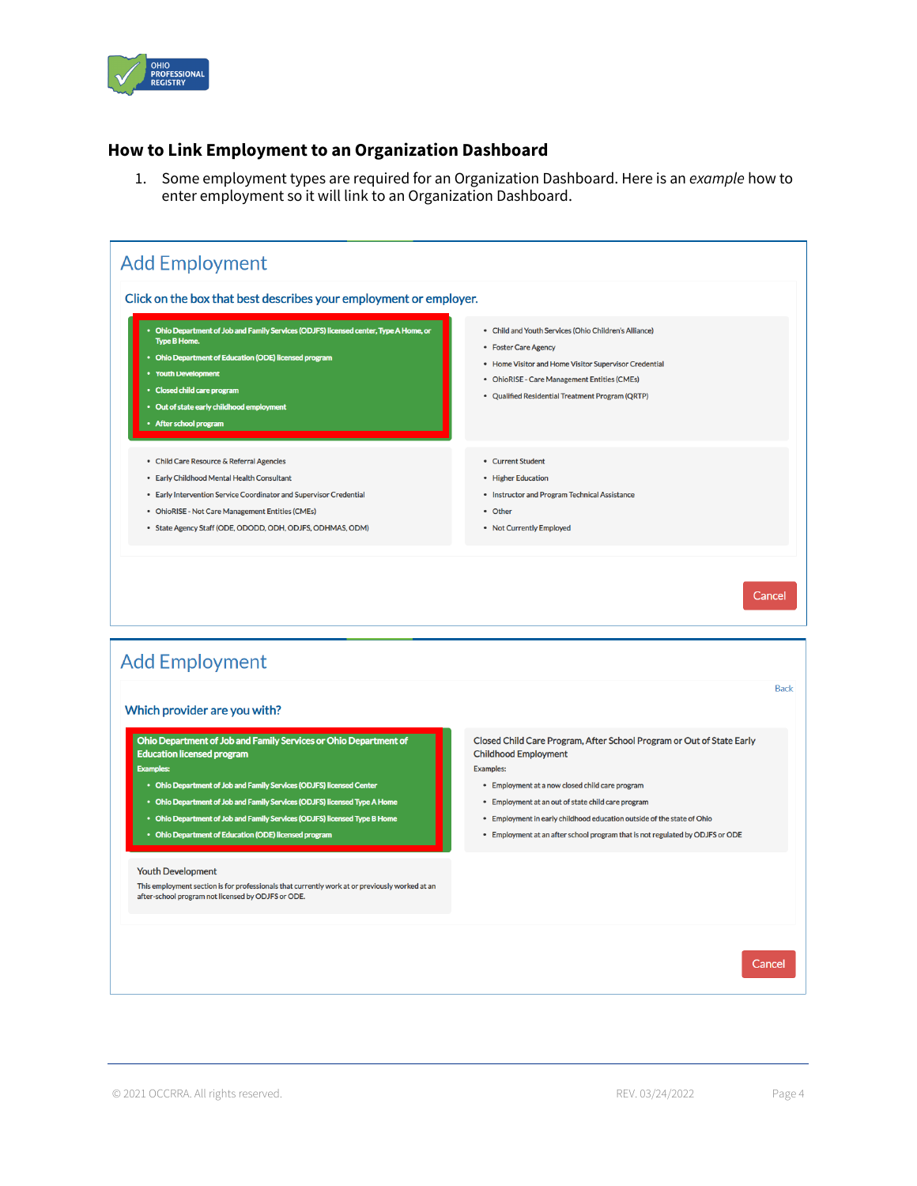

#### **How to Link Employment to an Organization Dashboard**

1. Some employment types are required for an Organization Dashboard. Here is an *example* how to enter employment so it will link to an Organization Dashboard.

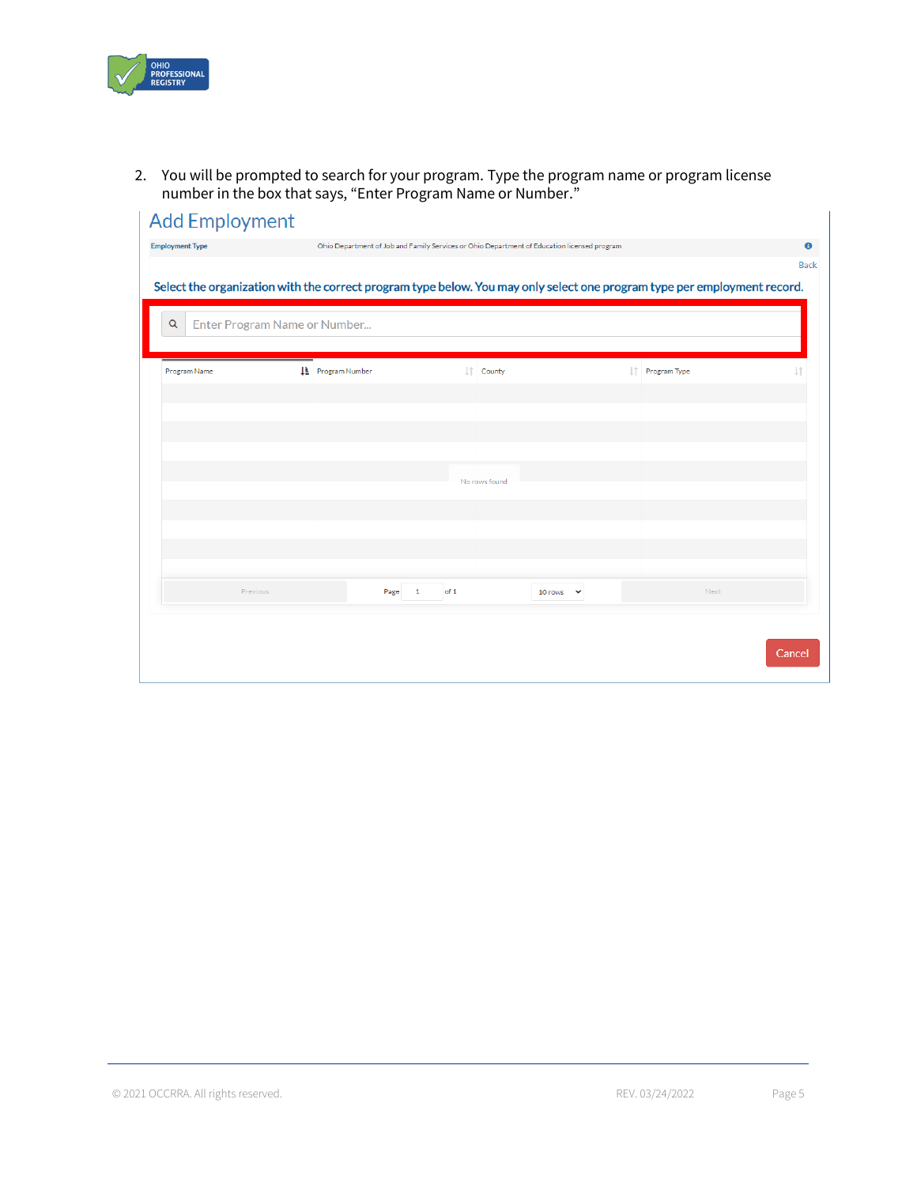

2. You will be prompted to search for your program. Type the program name or program license number in the box that says, "Enter Program Name or Number."

|                                   |                          |                        |      |                       | Ohio Department of Job and Family Services or Ohio Department of Education licensed program |                                                                                                                          | <b>Back</b> |
|-----------------------------------|--------------------------|------------------------|------|-----------------------|---------------------------------------------------------------------------------------------|--------------------------------------------------------------------------------------------------------------------------|-------------|
|                                   |                          |                        |      |                       |                                                                                             | Select the organization with the correct program type below. You may only select one program type per employment record. |             |
| Enter Program Name or Number<br>Q |                          |                        |      |                       |                                                                                             |                                                                                                                          |             |
| Program Name                      | <b>IL</b> Program Number |                        |      | $  \uparrow  $ County |                                                                                             | IT Program Type                                                                                                          | 11          |
|                                   |                          |                        |      |                       |                                                                                             |                                                                                                                          |             |
|                                   |                          |                        |      |                       |                                                                                             |                                                                                                                          |             |
|                                   |                          |                        |      |                       |                                                                                             |                                                                                                                          |             |
|                                   |                          |                        |      | No rows found         |                                                                                             |                                                                                                                          |             |
|                                   |                          |                        |      |                       |                                                                                             |                                                                                                                          |             |
|                                   |                          |                        |      |                       |                                                                                             |                                                                                                                          |             |
| Previous                          |                          | Page<br>$\overline{1}$ | of 1 |                       | 10 rows $\vee$                                                                              | Next                                                                                                                     |             |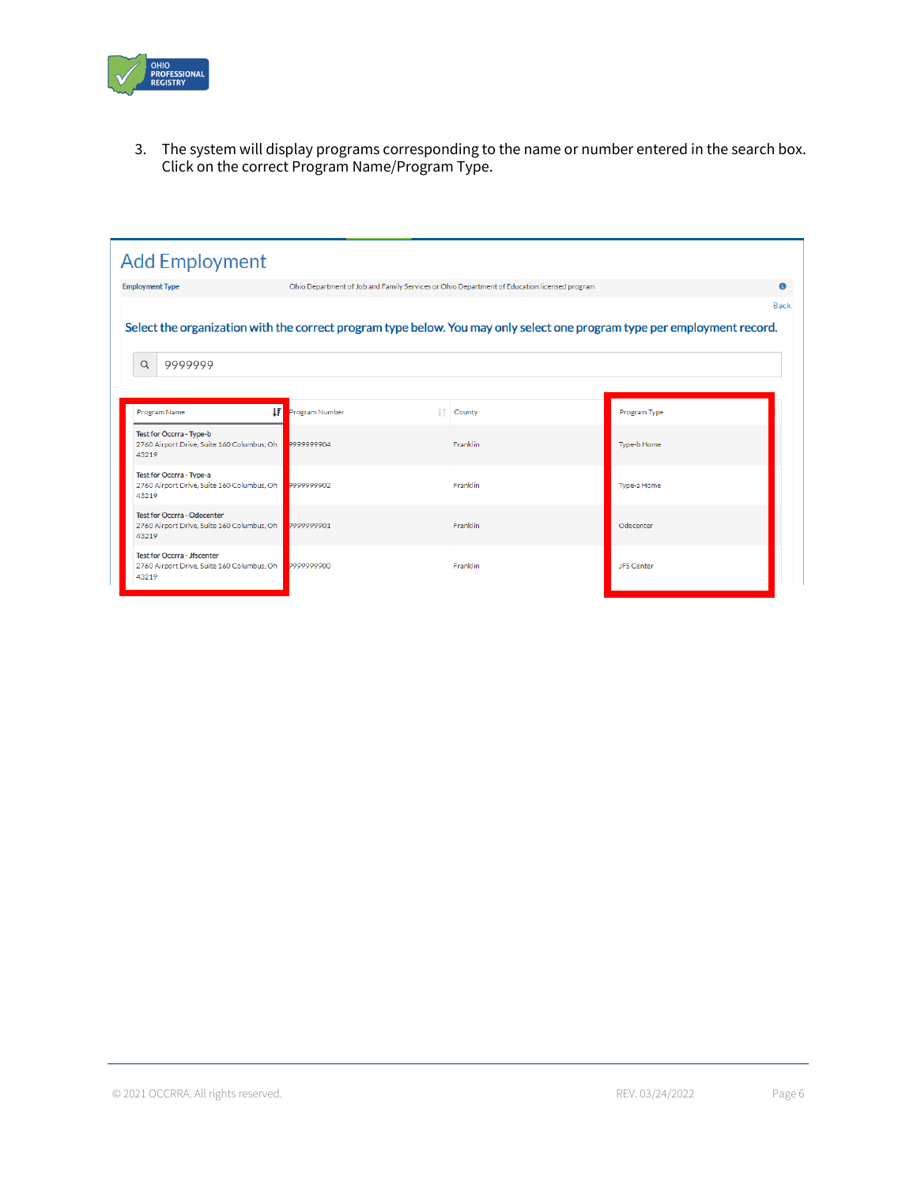

3. The system will display programs corresponding to the name or number entered in the search box. Click on the correct Program Name/Program Type.

| <b>Employment Type</b>                                                                    | Ohio Department of Job and Family Services or Ohio Department of Education licensed program |          |                                                                                                                          |
|-------------------------------------------------------------------------------------------|---------------------------------------------------------------------------------------------|----------|--------------------------------------------------------------------------------------------------------------------------|
|                                                                                           |                                                                                             |          | <b>Back</b>                                                                                                              |
|                                                                                           |                                                                                             |          | Select the organization with the correct program type below. You may only select one program type per employment record. |
|                                                                                           |                                                                                             |          |                                                                                                                          |
| Q<br>9999999                                                                              |                                                                                             |          |                                                                                                                          |
|                                                                                           |                                                                                             |          |                                                                                                                          |
|                                                                                           |                                                                                             |          |                                                                                                                          |
| Ħ<br>Program Name                                                                         | Program Number                                                                              | County   | Program Type                                                                                                             |
| Test for Occrra - Type-b                                                                  |                                                                                             |          |                                                                                                                          |
|                                                                                           |                                                                                             |          |                                                                                                                          |
| 2760 Airport Drive, Suite 160 Columbus, Oh<br>43219                                       | 299999904                                                                                   | Franklin | Type-b Home                                                                                                              |
|                                                                                           |                                                                                             |          |                                                                                                                          |
|                                                                                           | 7999999902                                                                                  | Franklin | Type-a Home                                                                                                              |
| Test for Occrra - Type-a<br>2760 Airport Drive, Suite 160 Columbus, Oh<br>43219           |                                                                                             |          |                                                                                                                          |
|                                                                                           |                                                                                             |          | Odecenter                                                                                                                |
| <b>Test for Occrra - Odecenter</b><br>2760 Airport Drive, Suite 160 Columbus, Oh<br>43219 | 7999999901                                                                                  | Franklin |                                                                                                                          |
| <b>Test for Occrra - Jfscenter</b>                                                        |                                                                                             |          |                                                                                                                          |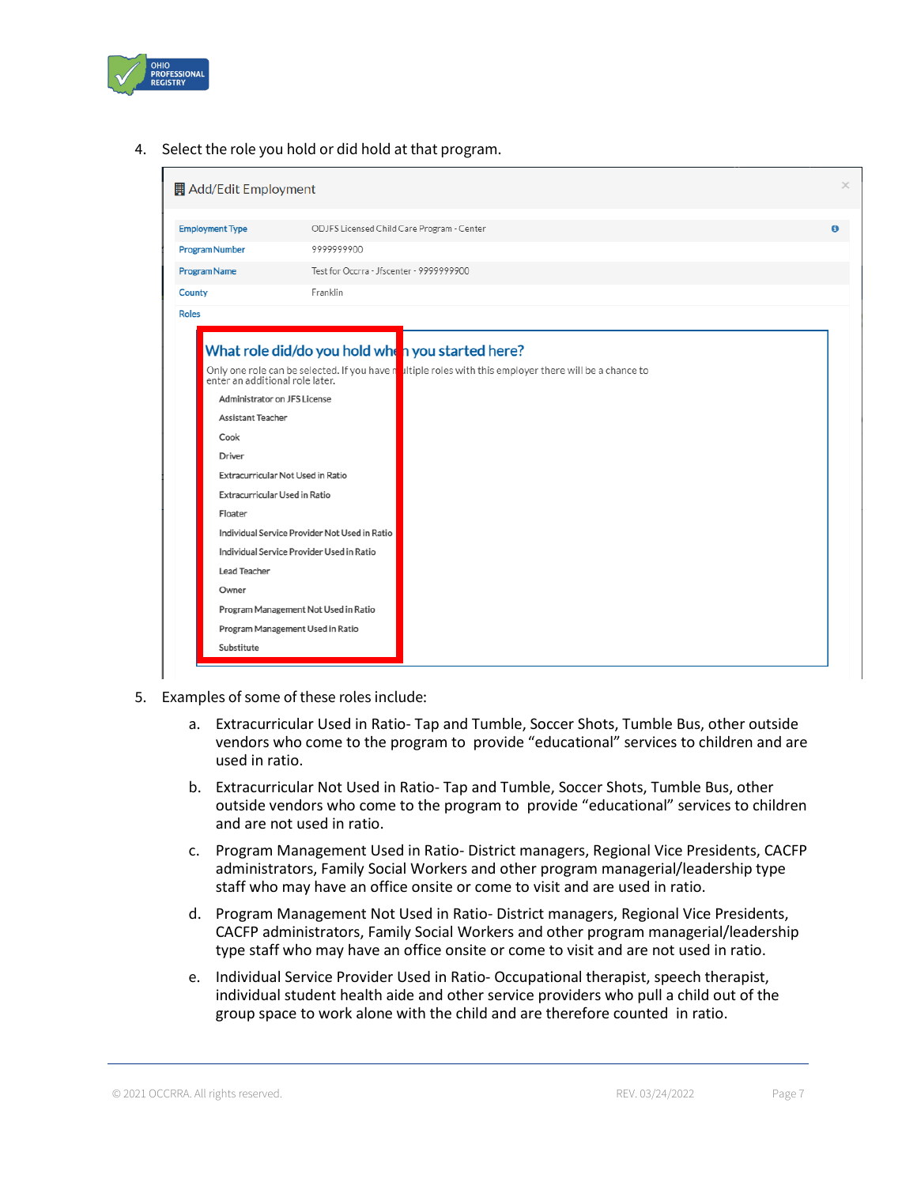

4. Select the role you hold or did hold at that program.



- 5. Examples of some of these roles include:
	- a. Extracurricular Used in Ratio- Tap and Tumble, Soccer Shots, Tumble Bus, other outside vendors who come to the program to provide "educational" services to children and are used in ratio.
	- b. Extracurricular Not Used in Ratio- Tap and Tumble, Soccer Shots, Tumble Bus, other outside vendors who come to the program to provide "educational" services to children and are not used in ratio.
	- c. Program Management Used in Ratio- District managers, Regional Vice Presidents, CACFP administrators, Family Social Workers and other program managerial/leadership type staff who may have an office onsite or come to visit and are used in ratio.
	- d. Program Management Not Used in Ratio- District managers, Regional Vice Presidents, CACFP administrators, Family Social Workers and other program managerial/leadership type staff who may have an office onsite or come to visit and are not used in ratio.
	- e. Individual Service Provider Used in Ratio- Occupational therapist, speech therapist, individual student health aide and other service providers who pull a child out of the group space to work alone with the child and are therefore counted in ratio.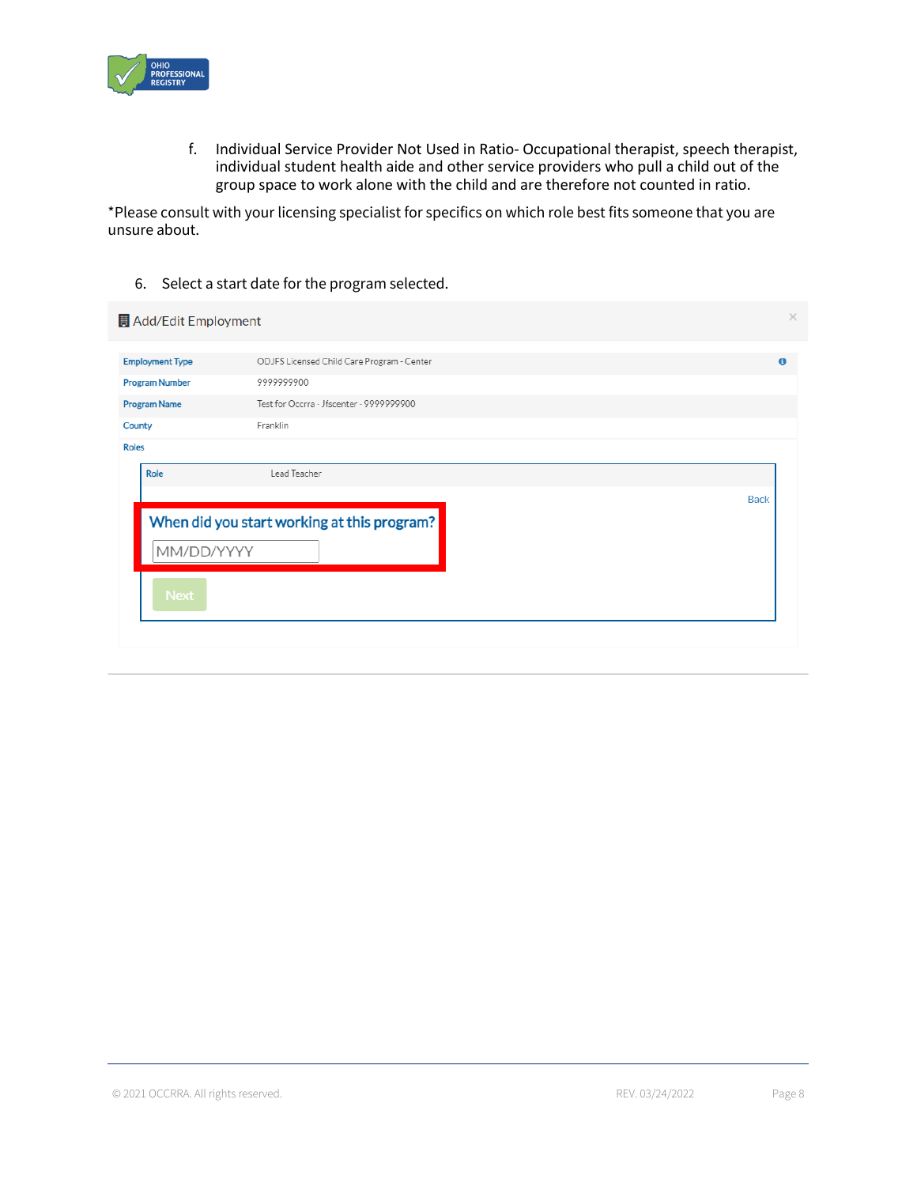

f. Individual Service Provider Not Used in Ratio- Occupational therapist, speech therapist, individual student health aide and other service providers who pull a child out of the group space to work alone with the child and are therefore not counted in ratio.

\*Please consult with your licensing specialist for specifics on which role best fits someone that you are unsure about.

6. Select a start date for the program selected.

|                                                                 | Add/Edit Employment    |                                             | $\times$    |
|-----------------------------------------------------------------|------------------------|---------------------------------------------|-------------|
|                                                                 | <b>Employment Type</b> | ODJFS Licensed Child Care Program - Center  | $\mathbf 0$ |
|                                                                 | <b>Program Number</b>  | 9999999900                                  |             |
| Test for Occrra - Jfscenter - 9999999900<br><b>Program Name</b> |                        |                                             |             |
| County                                                          |                        | Franklin                                    |             |
| <b>Roles</b>                                                    |                        |                                             |             |
|                                                                 | Role                   | Lead Teacher                                |             |
|                                                                 |                        | <b>Back</b>                                 |             |
|                                                                 | MM/DD/YYYY             | When did you start working at this program? |             |
|                                                                 | <b>Next</b>            |                                             |             |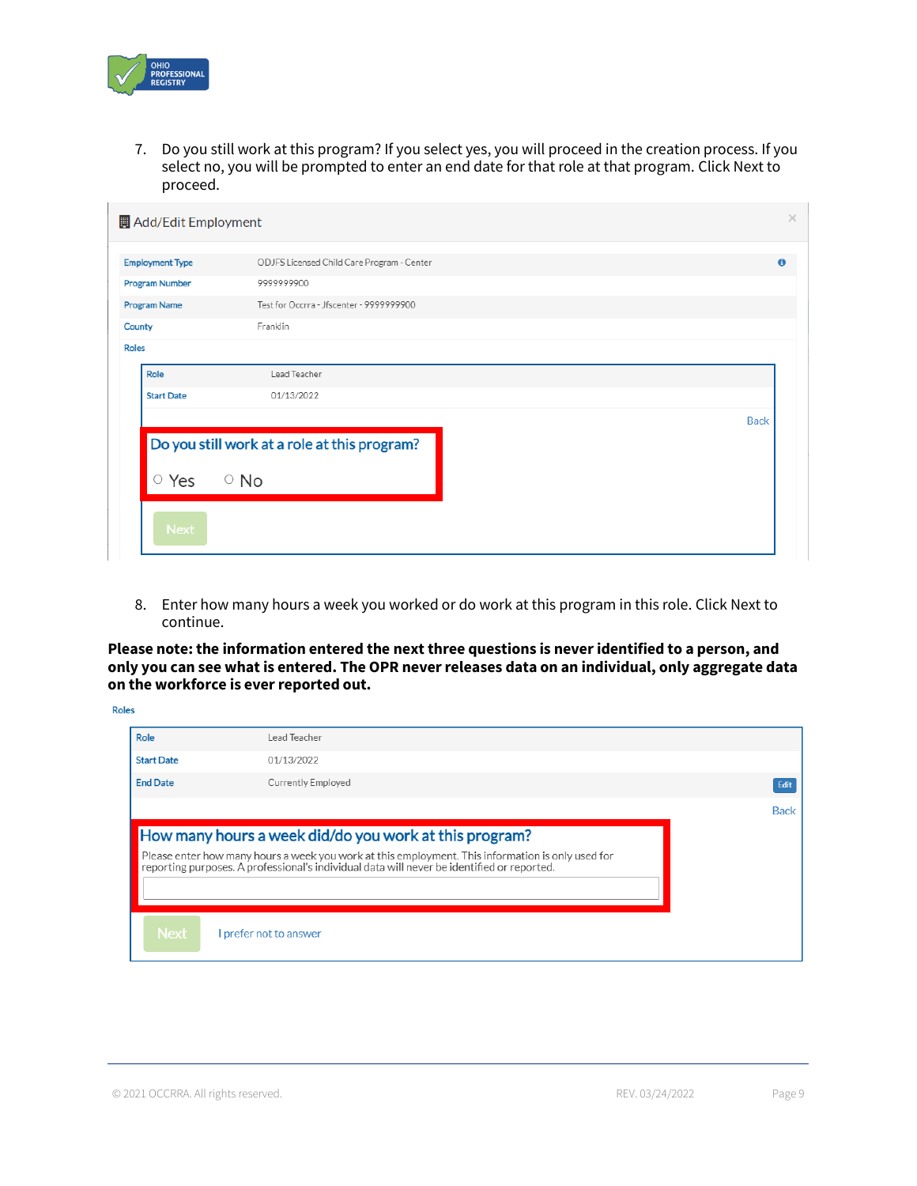

7. Do you still work at this program? If you select yes, you will proceed in the creation process. If you select no, you will be prompted to enter an end date for that role at that program. Click Next to proceed.

| <b>Employment Type</b> | ODJFS Licensed Child Care Program - Center   |             |
|------------------------|----------------------------------------------|-------------|
| <b>Program Number</b>  | 9999999900                                   |             |
| <b>Program Name</b>    | Test for Occrra - Jfscenter - 9999999900     |             |
| County                 | Franklin                                     |             |
| <b>Roles</b>           |                                              |             |
| Role                   | Lead Teacher                                 |             |
| <b>Start Date</b>      | 01/13/2022                                   |             |
|                        |                                              | <b>Back</b> |
|                        | Do you still work at a role at this program? |             |
|                        |                                              |             |
| ○ Yes                  | $\circ$ No                                   |             |

8. Enter how many hours a week you worked or do work at this program in this role. Click Next to continue.

**Please note: the information entered the next three questions is never identified to a person, and only you can see what is entered. The OPR never releases data on an individual, only aggregate data on the workforce is ever reported out.**

| <b>Roles</b>      |                                                                                                                                                                                                 |             |
|-------------------|-------------------------------------------------------------------------------------------------------------------------------------------------------------------------------------------------|-------------|
| Role              | Lead Teacher                                                                                                                                                                                    |             |
| <b>Start Date</b> | 01/13/2022                                                                                                                                                                                      |             |
| <b>End Date</b>   | Currently Employed                                                                                                                                                                              | Edit        |
|                   |                                                                                                                                                                                                 | <b>Back</b> |
|                   | How many hours a week did/do you work at this program?                                                                                                                                          |             |
|                   | Please enter how many hours a week you work at this employment. This information is only used for<br>reporting purposes. A professional's individual data will never be identified or reported. |             |
|                   |                                                                                                                                                                                                 |             |
| <b>Next</b>       | I prefer not to answer                                                                                                                                                                          |             |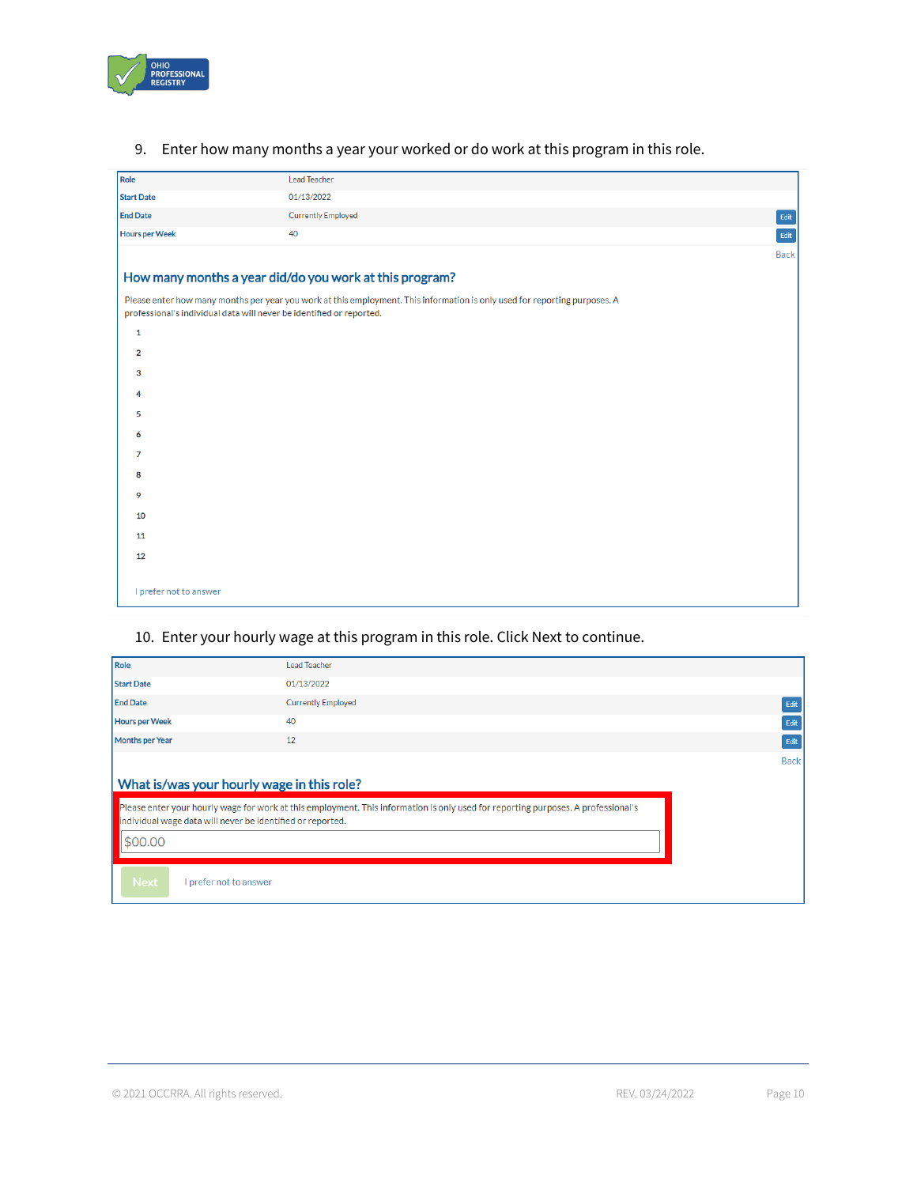

| Role                    | Lead Teacher                                                                                                                                                                                       |               |
|-------------------------|----------------------------------------------------------------------------------------------------------------------------------------------------------------------------------------------------|---------------|
| <b>Start Date</b>       | 01/13/2022                                                                                                                                                                                         |               |
| <b>End Date</b>         | <b>Currently Employed</b>                                                                                                                                                                          | $_{\rm Edit}$ |
| <b>Hours per Week</b>   | 40                                                                                                                                                                                                 | Edit          |
|                         |                                                                                                                                                                                                    | <b>Back</b>   |
|                         | How many months a year did/do you work at this program?                                                                                                                                            |               |
|                         | Please enter how many months per year you work at this employment. This information is only used for reporting purposes. A<br>professional's individual data will never be identified or reported. |               |
| $\mathbf{1}$            |                                                                                                                                                                                                    |               |
| $\overline{\mathbf{2}}$ |                                                                                                                                                                                                    |               |
| 3                       |                                                                                                                                                                                                    |               |
| 4                       |                                                                                                                                                                                                    |               |
| 5                       |                                                                                                                                                                                                    |               |
| 6                       |                                                                                                                                                                                                    |               |
| 7                       |                                                                                                                                                                                                    |               |
| 8                       |                                                                                                                                                                                                    |               |
| 9                       |                                                                                                                                                                                                    |               |
| 10                      |                                                                                                                                                                                                    |               |
| 11                      |                                                                                                                                                                                                    |               |
| 12                      |                                                                                                                                                                                                    |               |
| I prefer not to answer  |                                                                                                                                                                                                    |               |

# 9. Enter how many months a year your worked or do work at this program in this role.

# 10. Enter your hourly wage at this program in this role. Click Next to continue.

| Role                                                                  | <b>Lead Teacher</b>                                                                                                               |             |
|-----------------------------------------------------------------------|-----------------------------------------------------------------------------------------------------------------------------------|-------------|
| <b>Start Date</b>                                                     | 01/13/2022                                                                                                                        |             |
| <b>End Date</b>                                                       | <b>Currently Employed</b>                                                                                                         | Edit        |
| <b>Hours per Week</b>                                                 | 40                                                                                                                                | Edit        |
| <b>Months per Year</b>                                                | 12                                                                                                                                | Edit        |
| What is/was your hourly wage in this role?                            |                                                                                                                                   | <b>Back</b> |
| individual wage data will never be identified or reported.<br>\$00,00 | Please enter your hourly wage for work at this employment. This information is only used for reporting purposes. A professional's |             |
| <b>Next</b><br>I prefer not to answer                                 |                                                                                                                                   |             |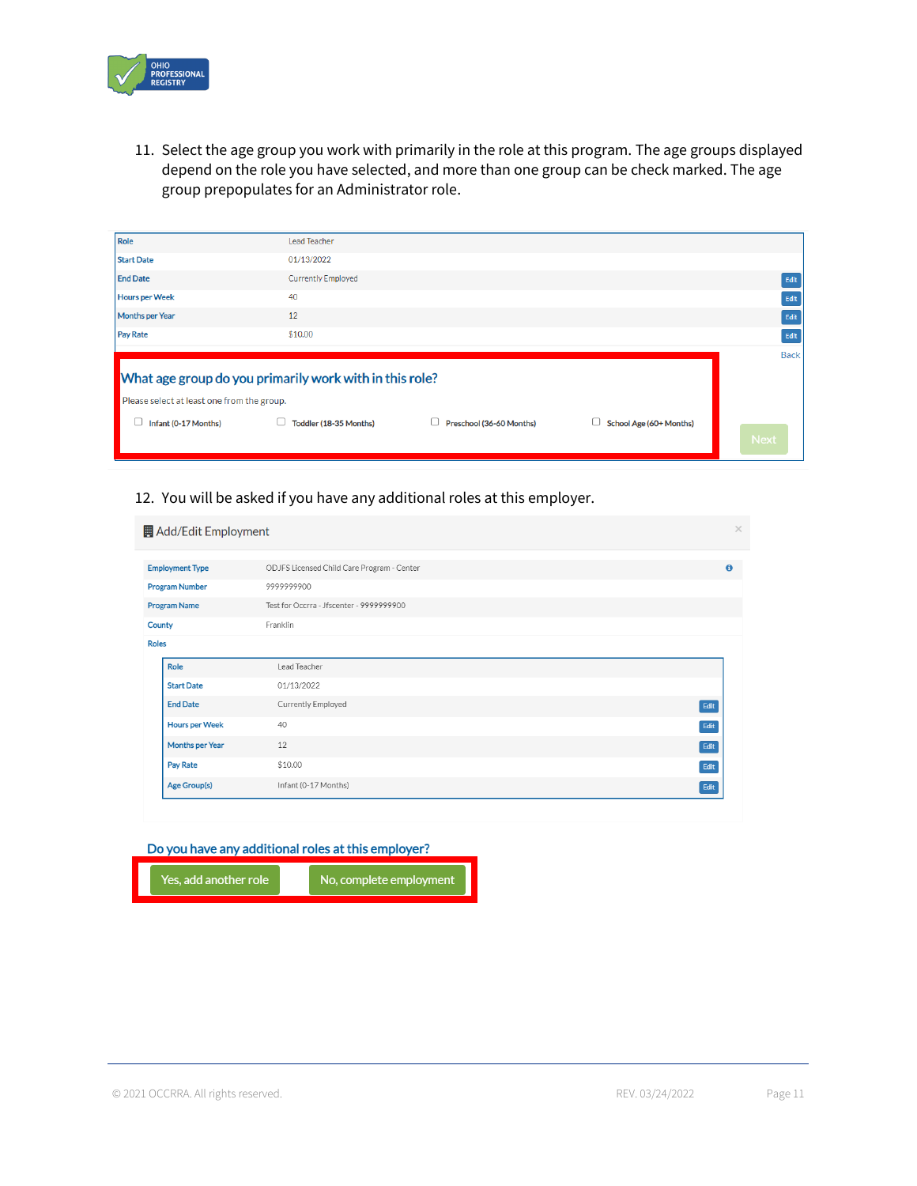

11. Select the age group you work with primarily in the role at this program. The age groups displayed depend on the role you have selected, and more than one group can be check marked. The age group prepopulates for an Administrator role.

| Role                                                    | Lead Teacher              |                          |                         |             |  |  |  |  |  |  |
|---------------------------------------------------------|---------------------------|--------------------------|-------------------------|-------------|--|--|--|--|--|--|
|                                                         |                           |                          |                         |             |  |  |  |  |  |  |
| <b>Start Date</b>                                       | 01/13/2022                |                          |                         |             |  |  |  |  |  |  |
| <b>End Date</b>                                         | <b>Currently Employed</b> |                          |                         | Edit        |  |  |  |  |  |  |
| <b>Hours per Week</b>                                   | 40                        |                          |                         | Edit        |  |  |  |  |  |  |
| <b>Months per Year</b>                                  | 12                        |                          |                         | Edit        |  |  |  |  |  |  |
| <b>Pay Rate</b>                                         | \$10.00                   |                          |                         | Edit        |  |  |  |  |  |  |
|                                                         |                           |                          |                         | <b>Back</b> |  |  |  |  |  |  |
| What age group do you primarily work with in this role? |                           |                          |                         |             |  |  |  |  |  |  |
| Please select at least one from the group.              |                           |                          |                         |             |  |  |  |  |  |  |
| Infant (0-17 Months)                                    | Toddler (18-35 Months)    | Preschool (36-60 Months) | School Age (60+ Months) |             |  |  |  |  |  |  |
|                                                         |                           |                          |                         | <b>Next</b> |  |  |  |  |  |  |

### 12. You will be asked if you have any additional roles at this employer.

| Add/Edit Employment    |                                            |      |
|------------------------|--------------------------------------------|------|
|                        |                                            |      |
| <b>Employment Type</b> | ODJFS Licensed Child Care Program - Center |      |
| <b>Program Number</b>  | 9999999900                                 |      |
| <b>Program Name</b>    | Test for Occrra - Jfscenter - 9999999900   |      |
| County                 | Franklin                                   |      |
| <b>Roles</b>           |                                            |      |
| Role                   | Lead Teacher                               |      |
| <b>Start Date</b>      | 01/13/2022                                 |      |
| <b>End Date</b>        | Currently Employed                         | Edit |
| <b>Hours per Week</b>  | 40                                         | Edit |
| Months per Year        | 12                                         | Edit |
| Pay Rate               | \$10.00                                    | Edit |
| Age Group(s)           | Infant (0-17 Months)                       | Edit |

#### Do you have any additional roles at this employer?

Yes, add another role

No, complete employment